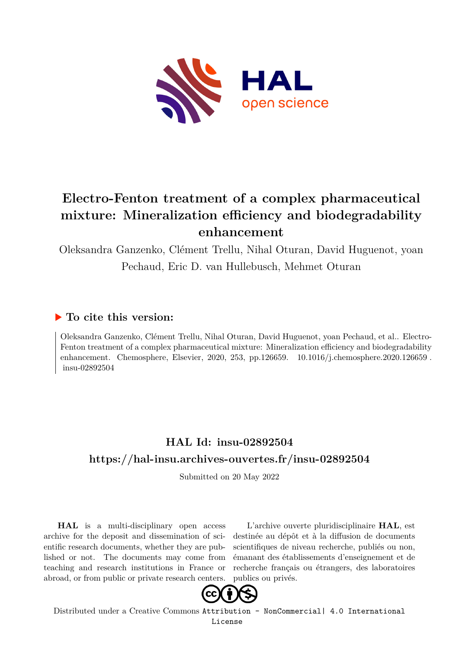

# **Electro-Fenton treatment of a complex pharmaceutical mixture: Mineralization efficiency and biodegradability enhancement**

Oleksandra Ganzenko, Clément Trellu, Nihal Oturan, David Huguenot, yoan Pechaud, Eric D. van Hullebusch, Mehmet Oturan

## **To cite this version:**

Oleksandra Ganzenko, Clément Trellu, Nihal Oturan, David Huguenot, yoan Pechaud, et al.. Electro-Fenton treatment of a complex pharmaceutical mixture: Mineralization efficiency and biodegradability enhancement. Chemosphere, Elsevier, 2020, 253, pp.126659. 10.1016/j.chemosphere.2020.126659. insu-02892504

# **HAL Id: insu-02892504 <https://hal-insu.archives-ouvertes.fr/insu-02892504>**

Submitted on 20 May 2022

**HAL** is a multi-disciplinary open access archive for the deposit and dissemination of scientific research documents, whether they are published or not. The documents may come from teaching and research institutions in France or abroad, or from public or private research centers.

L'archive ouverte pluridisciplinaire **HAL**, est destinée au dépôt et à la diffusion de documents scientifiques de niveau recherche, publiés ou non, émanant des établissements d'enseignement et de recherche français ou étrangers, des laboratoires publics ou privés.



Distributed under a Creative Commons [Attribution - NonCommercial| 4.0 International](http://creativecommons.org/licenses/by-nc/4.0/) [License](http://creativecommons.org/licenses/by-nc/4.0/)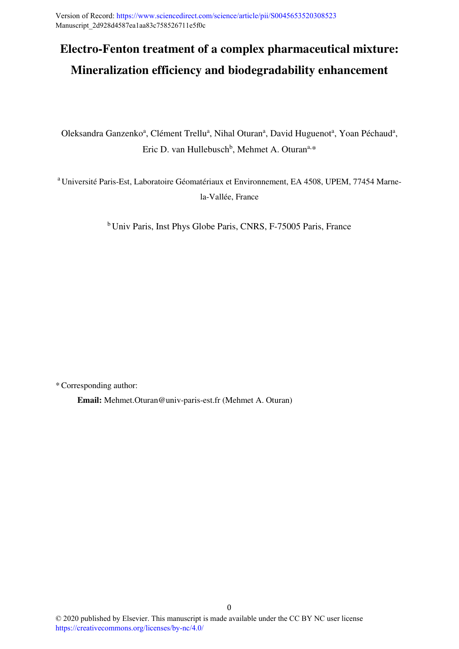Version of Record:<https://www.sciencedirect.com/science/article/pii/S0045653520308523> Manuscript\_2d928d4587ea1aa83c758526711e5f0c

# **Electro-Fenton treatment of a complex pharmaceutical mixture: Mineralization efficiency and biodegradability enhancement**

Oleksandra Ganzenko<sup>a</sup>, Clément Trellu<sup>a</sup>, Nihal Oturan<sup>a</sup>, David Huguenot<sup>a</sup>, Yoan Péchaud<sup>a</sup>, Eric D. van Hullebusch<sup>b</sup>, Mehmet A. Oturan<sup>a,\*</sup>

<sup>a</sup> Université Paris-Est, Laboratoire Géomatériaux et Environnement, EA 4508, UPEM, 77454 Marnela-Vallée, France

<sup>b</sup> Univ Paris, Inst Phys Globe Paris, CNRS, F-75005 Paris, France

\*Corresponding author:

**Email:** Mehmet.Oturan@univ-paris-est.fr (Mehmet A. Oturan)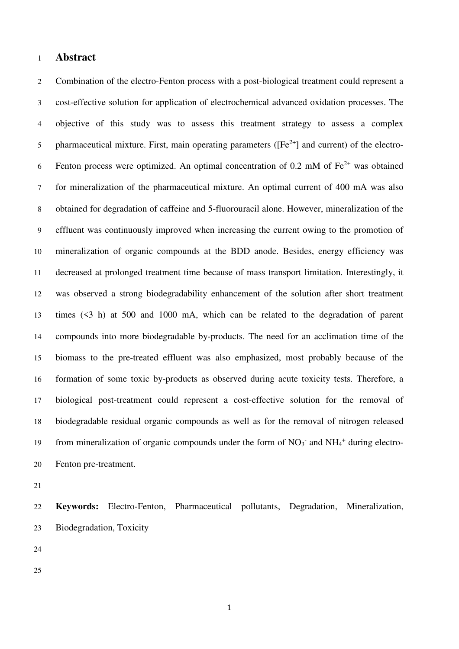#### **Abstract**

Combination of the electro-Fenton process with a post-biological treatment could represent a cost-effective solution for application of electrochemical advanced oxidation processes. The objective of this study was to assess this treatment strategy to assess a complex 5 pharmaceutical mixture. First, main operating parameters ( $[Fe^{2+}]$  and current) of the electro-6 Fenton process were optimized. An optimal concentration of 0.2 mM of  $Fe^{2+}$  was obtained for mineralization of the pharmaceutical mixture. An optimal current of 400 mA was also obtained for degradation of caffeine and 5-fluorouracil alone. However, mineralization of the effluent was continuously improved when increasing the current owing to the promotion of mineralization of organic compounds at the BDD anode. Besides, energy efficiency was decreased at prolonged treatment time because of mass transport limitation. Interestingly, it was observed a strong biodegradability enhancement of the solution after short treatment times (<3 h) at 500 and 1000 mA, which can be related to the degradation of parent compounds into more biodegradable by-products. The need for an acclimation time of the biomass to the pre-treated effluent was also emphasized, most probably because of the formation of some toxic by-products as observed during acute toxicity tests. Therefore, a biological post-treatment could represent a cost-effective solution for the removal of biodegradable residual organic compounds as well as for the removal of nitrogen released 19 from mineralization of organic compounds under the form of  $NO<sub>3</sub>$  and  $NH<sub>4</sub>$ <sup>+</sup> during electro-Fenton pre-treatment.

**Keywords:** Electro-Fenton, Pharmaceutical pollutants, Degradation, Mineralization, Biodegradation, Toxicity

- 
-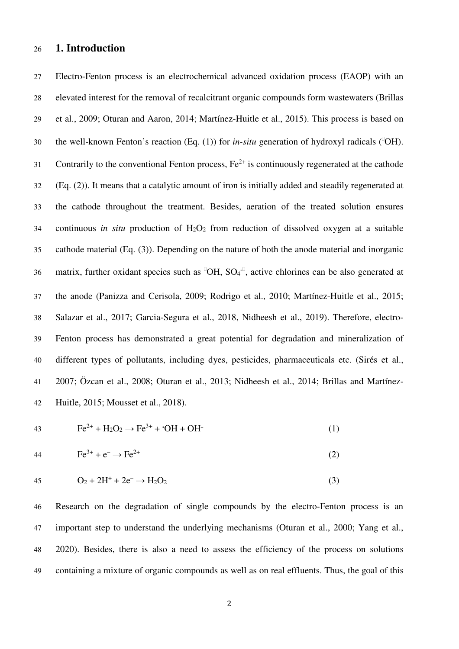### **1. Introduction**

Electro-Fenton process is an electrochemical advanced oxidation process (EAOP) with an elevated interest for the removal of recalcitrant organic compounds form wastewaters (Brillas et al., 2009; Oturan and Aaron, 2014; Martínez-Huitle et al., 2015). This process is based on 30 the well-known Fenton's reaction (Eq. (1)) for *in-situ* generation of hydroxyl radicals (OH). 31 Contrarily to the conventional Fenton process,  $Fe^{2+}$  is continuously regenerated at the cathode (Eq. (2)). It means that a catalytic amount of iron is initially added and steadily regenerated at the cathode throughout the treatment. Besides, aeration of the treated solution ensures continuous *in situ* production of H2O2 from reduction of dissolved oxygen at a suitable cathode material (Eq. (3)). Depending on the nature of both the anode material and inorganic 36 matrix, further oxidant species such as OH, SO<sub>4</sub><sup>-</sup>, active chlorines can be also generated at the anode (Panizza and Cerisola, 2009; Rodrigo et al., 2010; Martínez-Huitle et al., 2015; Salazar et al., 2017; Garcia-Segura et al., 2018, Nidheesh et al., 2019). Therefore, electro-Fenton process has demonstrated a great potential for degradation and mineralization of different types of pollutants, including dyes, pesticides, pharmaceuticals etc. (Sirés et al., 2007; Özcan et al., 2008; Oturan et al., 2013; Nidheesh et al., 2014; Brillas and Martínez-Huitle, 2015; Mousset et al., 2018).

$$
43
$$

43 
$$
Fe^{2+} + H_2O_2 \to Fe^{3+} + OH + OH
$$
 (1)

44 
$$
Fe^{3+} + e^{-} \rightarrow Fe^{2+}
$$
 (2)

$$
45 \tO_2 + 2H^+ + 2e^- \to H_2O_2 \t(3)
$$

Research on the degradation of single compounds by the electro-Fenton process is an important step to understand the underlying mechanisms (Oturan et al., 2000; Yang et al., 2020). Besides, there is also a need to assess the efficiency of the process on solutions containing a mixture of organic compounds as well as on real effluents. Thus, the goal of this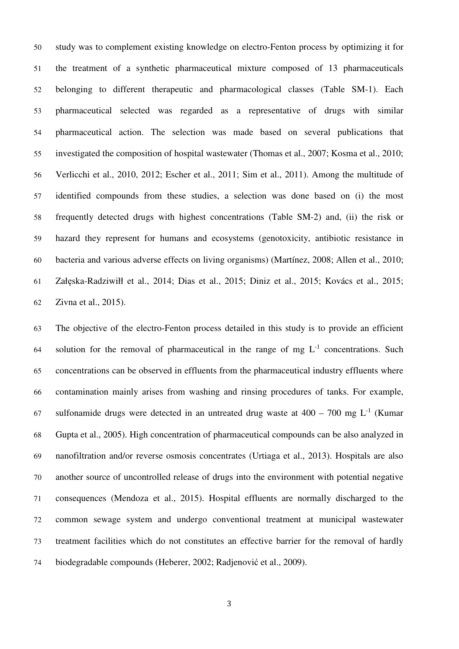study was to complement existing knowledge on electro-Fenton process by optimizing it for the treatment of a synthetic pharmaceutical mixture composed of 13 pharmaceuticals belonging to different therapeutic and pharmacological classes (Table SM-1). Each pharmaceutical selected was regarded as a representative of drugs with similar pharmaceutical action. The selection was made based on several publications that investigated the composition of hospital wastewater (Thomas et al., 2007; Kosma et al., 2010; Verlicchi et al., 2010, 2012; Escher et al., 2011; Sim et al., 2011). Among the multitude of identified compounds from these studies, a selection was done based on (i) the most frequently detected drugs with highest concentrations (Table SM-2) and, (ii) the risk or hazard they represent for humans and ecosystems (genotoxicity, antibiotic resistance in bacteria and various adverse effects on living organisms) (Martínez, 2008; Allen et al., 2010; Załęska-Radziwiłł et al., 2014; Dias et al., 2015; Diniz et al., 2015; Kovács et al., 2015; Zivna et al., 2015).

The objective of the electro-Fenton process detailed in this study is to provide an efficient 64 solution for the removal of pharmaceutical in the range of mg  $L^{-1}$  concentrations. Such concentrations can be observed in effluents from the pharmaceutical industry effluents where contamination mainly arises from washing and rinsing procedures of tanks. For example, 67 sulfonamide drugs were detected in an untreated drug waste at  $400 - 700$  mg L<sup>-1</sup> (Kumar Gupta et al., 2005). High concentration of pharmaceutical compounds can be also analyzed in nanofiltration and/or reverse osmosis concentrates (Urtiaga et al., 2013). Hospitals are also another source of uncontrolled release of drugs into the environment with potential negative consequences (Mendoza et al., 2015). Hospital effluents are normally discharged to the common sewage system and undergo conventional treatment at municipal wastewater treatment facilities which do not constitutes an effective barrier for the removal of hardly biodegradable compounds (Heberer, 2002; Radjenović et al., 2009).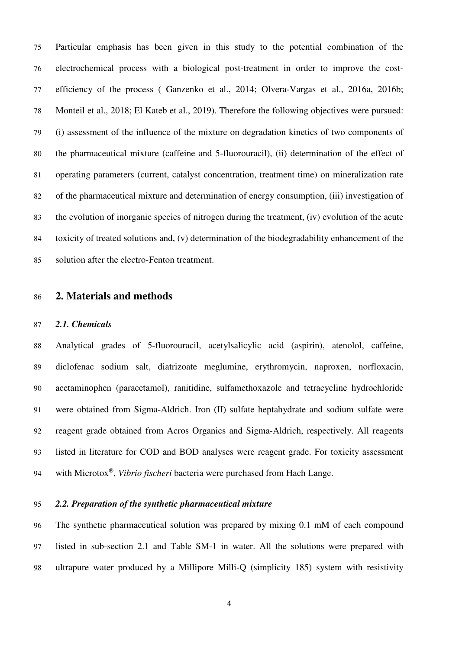Particular emphasis has been given in this study to the potential combination of the electrochemical process with a biological post-treatment in order to improve the cost-efficiency of the process ( Ganzenko et al., 2014; Olvera-Vargas et al., 2016a, 2016b; Monteil et al., 2018; El Kateb et al., 2019). Therefore the following objectives were pursued: (i) assessment of the influence of the mixture on degradation kinetics of two components of the pharmaceutical mixture (caffeine and 5-fluorouracil), (ii) determination of the effect of operating parameters (current, catalyst concentration, treatment time) on mineralization rate of the pharmaceutical mixture and determination of energy consumption, (iii) investigation of the evolution of inorganic species of nitrogen during the treatment, (iv) evolution of the acute toxicity of treated solutions and, (v) determination of the biodegradability enhancement of the solution after the electro-Fenton treatment.

#### **2. Materials and methods**

#### *2.1. Chemicals*

Analytical grades of 5-fluorouracil, acetylsalicylic acid (aspirin), atenolol, caffeine, diclofenac sodium salt, diatrizoate meglumine, erythromycin, naproxen, norfloxacin, acetaminophen (paracetamol), ranitidine, sulfamethoxazole and tetracycline hydrochloride were obtained from Sigma-Aldrich. Iron (II) sulfate heptahydrate and sodium sulfate were reagent grade obtained from Acros Organics and Sigma-Aldrich, respectively. All reagents listed in literature for COD and BOD analyses were reagent grade. For toxicity assessment with Microtox® , *Vibrio fischeri* bacteria were purchased from Hach Lange.

#### *2.2. Preparation of the synthetic pharmaceutical mixture*

The synthetic pharmaceutical solution was prepared by mixing 0.1 mM of each compound listed in sub-section 2.1 and Table SM-1 in water. All the solutions were prepared with ultrapure water produced by a Millipore Milli-Q (simplicity 185) system with resistivity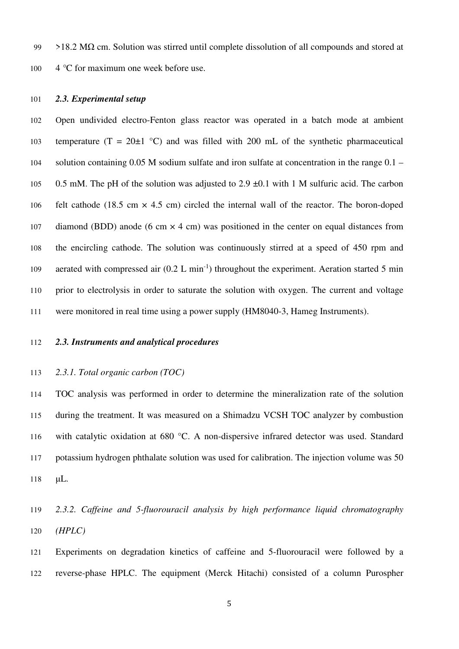99 >18.2 M $\Omega$  cm. Solution was stirred until complete dissolution of all compounds and stored at 100 4 °C for maximum one week before use.

#### *2.3. Experimental setup*

Open undivided electro-Fenton glass reactor was operated in a batch mode at ambient 103 temperature (T = 20 $\pm$ 1 °C) and was filled with 200 mL of the synthetic pharmaceutical solution containing 0.05 M sodium sulfate and iron sulfate at concentration in the range 0.1 – 0.5 mM. The pH of the solution was adjusted to 2.9 ±0.1 with 1 M sulfuric acid. The carbon 106 felt cathode (18.5 cm  $\times$  4.5 cm) circled the internal wall of the reactor. The boron-doped 107 diamond (BDD) anode (6 cm  $\times$  4 cm) was positioned in the center on equal distances from the encircling cathode. The solution was continuously stirred at a speed of 450 rpm and 109 aerated with compressed air  $(0.2 \text{ L min}^{-1})$  throughout the experiment. Aeration started 5 min prior to electrolysis in order to saturate the solution with oxygen. The current and voltage were monitored in real time using a power supply (HM8040-3, Hameg Instruments).

#### *2.3. Instruments and analytical procedures*

#### *2.3.1. Total organic carbon (TOC)*

TOC analysis was performed in order to determine the mineralization rate of the solution during the treatment. It was measured on a Shimadzu VCSH TOC analyzer by combustion with catalytic oxidation at 680 °C. A non-dispersive infrared detector was used. Standard potassium hydrogen phthalate solution was used for calibration. The injection volume was 50 μL.

# *2.3.2. Caffeine and 5-fluorouracil analysis by high performance liquid chromatography (HPLC)*

Experiments on degradation kinetics of caffeine and 5-fluorouracil were followed by a reverse-phase HPLC. The equipment (Merck Hitachi) consisted of a column Purospher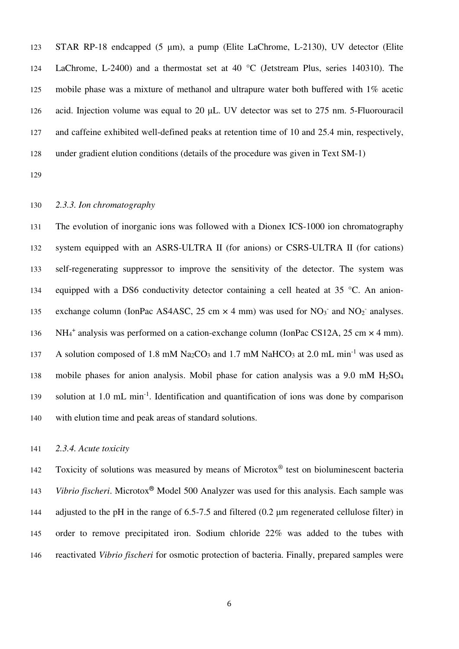STAR RP-18 endcapped (5 μm), a pump (Elite LaChrome, L-2130), UV detector (Elite LaChrome, L-2400) and a thermostat set at 40 °C (Jetstream Plus, series 140310). The mobile phase was a mixture of methanol and ultrapure water both buffered with 1% acetic acid. Injection volume was equal to 20 μL. UV detector was set to 275 nm. 5-Fluorouracil and caffeine exhibited well-defined peaks at retention time of 10 and 25.4 min, respectively, under gradient elution conditions (details of the procedure was given in Text SM-1)

#### *2.3.3. Ion chromatography*

The evolution of inorganic ions was followed with a Dionex ICS-1000 ion chromatography system equipped with an ASRS-ULTRA II (for anions) or CSRS-ULTRA II (for cations) self-regenerating suppressor to improve the sensitivity of the detector. The system was equipped with a DS6 conductivity detector containing a cell heated at 35 °C. An anion-135 exchange column (IonPac AS4ASC, 25 cm  $\times$  4 mm) was used for NO<sub>3</sub><sup>-</sup> and NO<sub>2</sub><sup>-</sup> analyses. 136 NH<sub>4</sub><sup>+</sup> analysis was performed on a cation-exchange column (IonPac CS12A, 25 cm × 4 mm). 137 A solution composed of 1.8 mM Na<sub>2</sub>CO<sub>3</sub> and 1.7 mM NaHCO<sub>3</sub> at 2.0 mL min<sup>-1</sup> was used as mobile phases for anion analysis. Mobil phase for cation analysis was a 9.0 mM H2SO<sup>4</sup> 139 solution at 1.0 mL min<sup>-1</sup>. Identification and quantification of ions was done by comparison with elution time and peak areas of standard solutions.

#### *2.3.4. Acute toxicity*

142 Toxicity of solutions was measured by means of Microtox<sup>®</sup> test on bioluminescent bacteria *Vibrio fischeri*. Microtox<sup>®</sup> Model 500 Analyzer was used for this analysis. Each sample was 144 adjusted to the pH in the range of 6.5-7.5 and filtered (0.2 um regenerated cellulose filter) in order to remove precipitated iron. Sodium chloride 22% was added to the tubes with reactivated *Vibrio fischeri* for osmotic protection of bacteria. Finally, prepared samples were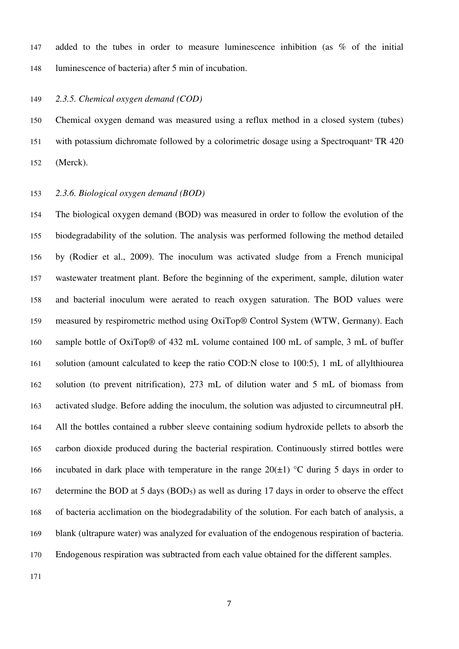added to the tubes in order to measure luminescence inhibition (as % of the initial luminescence of bacteria) after 5 min of incubation.

#### *2.3.5. Chemical oxygen demand (COD)*

Chemical oxygen demand was measured using a reflux method in a closed system (tubes) 151 with potassium dichromate followed by a colorimetric dosage using a Spectroquant<sup>®</sup> TR 420 (Merck).

#### *2.3.6. Biological oxygen demand (BOD)*

The biological oxygen demand (BOD) was measured in order to follow the evolution of the biodegradability of the solution. The analysis was performed following the method detailed by (Rodier et al., 2009). The inoculum was activated sludge from a French municipal wastewater treatment plant. Before the beginning of the experiment, sample, dilution water and bacterial inoculum were aerated to reach oxygen saturation. The BOD values were measured by respirometric method using OxiTop® Control System (WTW, Germany). Each sample bottle of OxiTop® of 432 mL volume contained 100 mL of sample, 3 mL of buffer solution (amount calculated to keep the ratio COD:N close to 100:5), 1 mL of allylthiourea solution (to prevent nitrification), 273 mL of dilution water and 5 mL of biomass from activated sludge. Before adding the inoculum, the solution was adjusted to circumneutral pH. All the bottles contained a rubber sleeve containing sodium hydroxide pellets to absorb the carbon dioxide produced during the bacterial respiration. Continuously stirred bottles were 166 incubated in dark place with temperature in the range  $20(\pm 1)$  °C during 5 days in order to 167 determine the BOD at 5 days (BOD<sub>5</sub>) as well as during 17 days in order to observe the effect of bacteria acclimation on the biodegradability of the solution. For each batch of analysis, a blank (ultrapure water) was analyzed for evaluation of the endogenous respiration of bacteria. Endogenous respiration was subtracted from each value obtained for the different samples.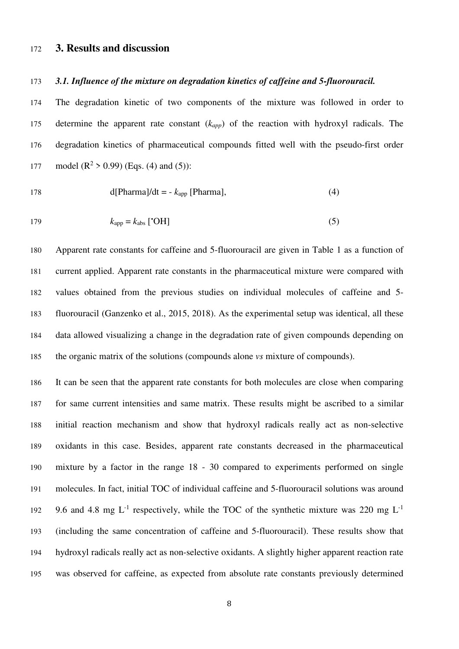#### **3. Results and discussion**

#### *3.1. Influence of the mixture on degradation kinetics of caffeine and 5-fluorouracil.*

The degradation kinetic of two components of the mixture was followed in order to determine the apparent rate constant (*kapp*) of the reaction with hydroxyl radicals. The degradation kinetics of pharmaceutical compounds fitted well with the pseudo-first order 177 model  $(R^2 > 0.99)$  (Eqs. (4) and (5)):

$$
178 \t\t d[Pharma]/dt = - kapp [Pharma], \t\t(4)
$$

$$
k_{\rm app} = k_{\rm abs} \,[\text{°OH}] \tag{5}
$$

Apparent rate constants for caffeine and 5-fluorouracil are given in Table 1 as a function of current applied. Apparent rate constants in the pharmaceutical mixture were compared with values obtained from the previous studies on individual molecules of caffeine and 5- fluorouracil (Ganzenko et al., 2015, 2018). As the experimental setup was identical, all these data allowed visualizing a change in the degradation rate of given compounds depending on the organic matrix of the solutions (compounds alone *vs* mixture of compounds).

It can be seen that the apparent rate constants for both molecules are close when comparing for same current intensities and same matrix. These results might be ascribed to a similar initial reaction mechanism and show that hydroxyl radicals really act as non-selective oxidants in this case. Besides, apparent rate constants decreased in the pharmaceutical mixture by a factor in the range 18 - 30 compared to experiments performed on single molecules. In fact, initial TOC of individual caffeine and 5-fluorouracil solutions was around 9.6 and 4.8 mg  $L^{-1}$  respectively, while the TOC of the synthetic mixture was 220 mg  $L^{-1}$ (including the same concentration of caffeine and 5-fluorouracil). These results show that hydroxyl radicals really act as non-selective oxidants. A slightly higher apparent reaction rate was observed for caffeine, as expected from absolute rate constants previously determined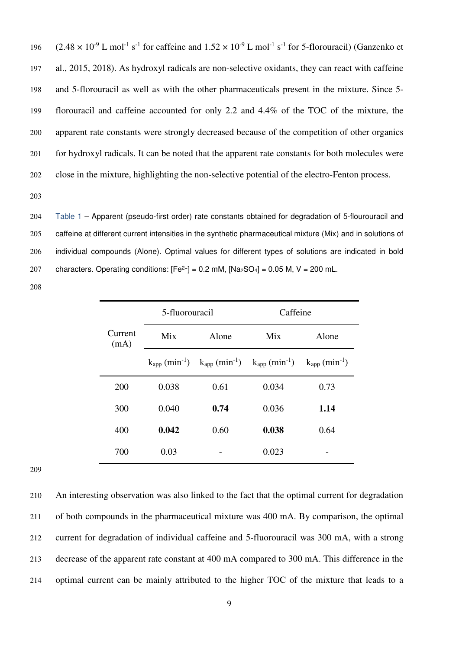$(2.48 \times 10^{-9} \text{ L mol}^{-1} \text{ s}^{-1}$  for caffeine and  $1.52 \times 10^{-9} \text{ L mol}^{-1} \text{ s}^{-1}$  for 5-florouracil) (Ganzenko et al., 2015, 2018). As hydroxyl radicals are non-selective oxidants, they can react with caffeine and 5-florouracil as well as with the other pharmaceuticals present in the mixture. Since 5- florouracil and caffeine accounted for only 2.2 and 4.4% of the TOC of the mixture, the apparent rate constants were strongly decreased because of the competition of other organics for hydroxyl radicals. It can be noted that the apparent rate constants for both molecules were close in the mixture, highlighting the non-selective potential of the electro-Fenton process.

Table 1 – Apparent (pseudo-first order) rate constants obtained for degradation of 5-flourouracil and caffeine at different current intensities in the synthetic pharmaceutical mixture (Mix) and in solutions of individual compounds (Alone). Optimal values for different types of solutions are indicated in bold 207 characters. Operating conditions:  $[Fe^{2+}] = 0.2$  mM,  $[Na_2SO_4] = 0.05$  M, V = 200 mL.

| Current<br>(mA) | 5-fluorouracil |                                                                                                                                                    | Caffeine |                                |
|-----------------|----------------|----------------------------------------------------------------------------------------------------------------------------------------------------|----------|--------------------------------|
|                 | Mix            | Alone                                                                                                                                              | Mix      | Alone                          |
|                 |                | $\mathrm{k}_{\mathrm{app}}\,(\mathrm{min}^{-1})$ $\mathrm{k}_{\mathrm{app}}\,(\mathrm{min}^{-1})$ $\mathrm{k}_{\mathrm{app}}\,(\mathrm{min}^{-1})$ |          | $k_{app}$ (min <sup>-1</sup> ) |
| 200             | 0.038          | 0.61                                                                                                                                               | 0.034    | 0.73                           |
| 300             | 0.040          | 0.74                                                                                                                                               | 0.036    | 1.14                           |
| 400             | 0.042          | 0.60                                                                                                                                               | 0.038    | 0.64                           |
| 700             | 0.03           |                                                                                                                                                    | 0.023    |                                |

An interesting observation was also linked to the fact that the optimal current for degradation of both compounds in the pharmaceutical mixture was 400 mA. By comparison, the optimal current for degradation of individual caffeine and 5-fluorouracil was 300 mA, with a strong decrease of the apparent rate constant at 400 mA compared to 300 mA. This difference in the optimal current can be mainly attributed to the higher TOC of the mixture that leads to a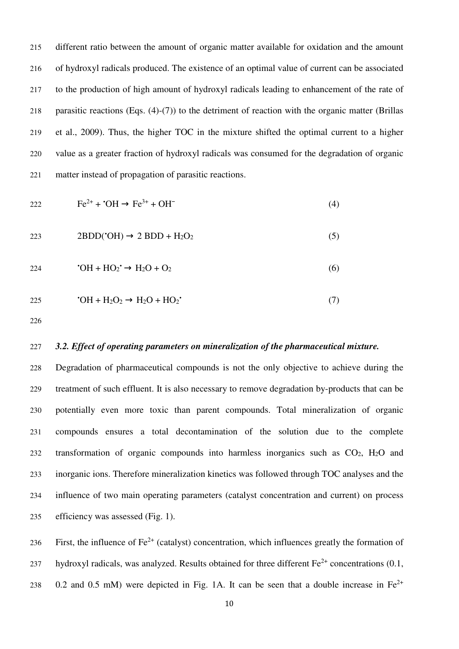different ratio between the amount of organic matter available for oxidation and the amount of hydroxyl radicals produced. The existence of an optimal value of current can be associated to the production of high amount of hydroxyl radicals leading to enhancement of the rate of parasitic reactions (Eqs. (4)-(7)) to the detriment of reaction with the organic matter (Brillas et al., 2009). Thus, the higher TOC in the mixture shifted the optimal current to a higher value as a greater fraction of hydroxyl radicals was consumed for the degradation of organic matter instead of propagation of parasitic reactions.

$$
222 \t\t\t Fe^{2+} + \bullet \cdot OH \rightarrow Fe^{3+} + OH^- \t\t(4)
$$

$$
2BDD('OH) \rightarrow 2 BDD + H_2O_2 \tag{5}
$$

•OH + HO<sup>2</sup> • → H2O + O2 (6)

•OH + H2O<sup>2</sup> → H2O + HO<sup>2</sup> • (7)

#### *3.2. Effect of operating parameters on mineralization of the pharmaceutical mixture.*

Degradation of pharmaceutical compounds is not the only objective to achieve during the treatment of such effluent. It is also necessary to remove degradation by-products that can be potentially even more toxic than parent compounds. Total mineralization of organic compounds ensures a total decontamination of the solution due to the complete transformation of organic compounds into harmless inorganics such as CO2, H2O and inorganic ions. Therefore mineralization kinetics was followed through TOC analyses and the influence of two main operating parameters (catalyst concentration and current) on process efficiency was assessed (Fig. 1).

236 First, the influence of  $Fe^{2+}$  (catalyst) concentration, which influences greatly the formation of hydroxyl radicals, was analyzed. Results obtained for three different  $Fe^{2+}$  concentrations (0.1, 238 0.2 and 0.5 mM) were depicted in Fig. 1A. It can be seen that a double increase in  $Fe^{2+}$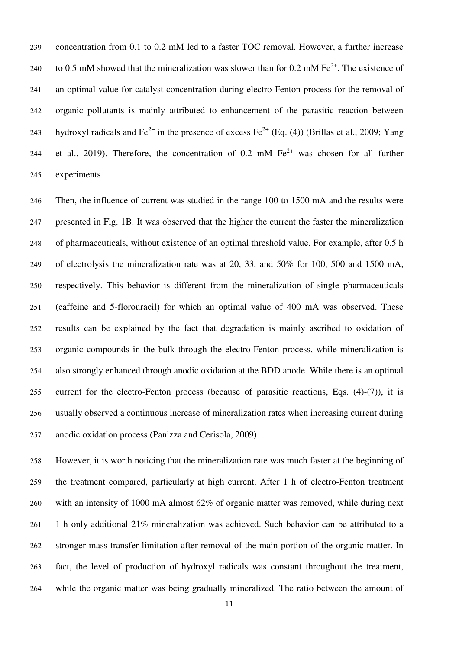concentration from 0.1 to 0.2 mM led to a faster TOC removal. However, a further increase to 0.5 mM showed that the mineralization was slower than for 0.2 mM  $Fe^{2+}$ . The existence of an optimal value for catalyst concentration during electro-Fenton process for the removal of organic pollutants is mainly attributed to enhancement of the parasitic reaction between hydroxyl radicals and  $Fe^{2+}$  in the presence of excess  $Fe^{2+}$  (Eq. (4)) (Brillas et al., 2009; Yang 244 et al., 2019). Therefore, the concentration of 0.2 mM  $Fe<sup>2+</sup>$  was chosen for all further experiments.

Then, the influence of current was studied in the range 100 to 1500 mA and the results were presented in Fig. 1B. It was observed that the higher the current the faster the mineralization of pharmaceuticals, without existence of an optimal threshold value. For example, after 0.5 h of electrolysis the mineralization rate was at 20, 33, and 50% for 100, 500 and 1500 mA, respectively. This behavior is different from the mineralization of single pharmaceuticals (caffeine and 5-florouracil) for which an optimal value of 400 mA was observed. These results can be explained by the fact that degradation is mainly ascribed to oxidation of organic compounds in the bulk through the electro-Fenton process, while mineralization is also strongly enhanced through anodic oxidation at the BDD anode. While there is an optimal current for the electro-Fenton process (because of parasitic reactions, Eqs. (4)-(7)), it is usually observed a continuous increase of mineralization rates when increasing current during anodic oxidation process (Panizza and Cerisola, 2009).

However, it is worth noticing that the mineralization rate was much faster at the beginning of the treatment compared, particularly at high current. After 1 h of electro-Fenton treatment with an intensity of 1000 mA almost 62% of organic matter was removed, while during next 1 h only additional 21% mineralization was achieved. Such behavior can be attributed to a stronger mass transfer limitation after removal of the main portion of the organic matter. In fact, the level of production of hydroxyl radicals was constant throughout the treatment, while the organic matter was being gradually mineralized. The ratio between the amount of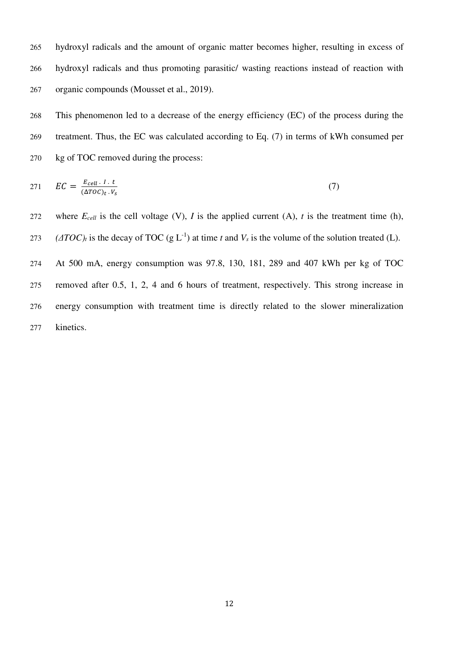hydroxyl radicals and the amount of organic matter becomes higher, resulting in excess of hydroxyl radicals and thus promoting parasitic/ wasting reactions instead of reaction with organic compounds (Mousset et al., 2019).

This phenomenon led to a decrease of the energy efficiency (EC) of the process during the treatment. Thus, the EC was calculated according to Eq. (7) in terms of kWh consumed per kg of TOC removed during the process:

$$
271 \tEC = \frac{E_{cell} \cdot I \cdot t}{(\Delta T O C)_t \cdot V_s} \tag{7}
$$

272 where  $E_{cell}$  is the cell voltage (V), *I* is the applied current (A), *t* is the treatment time (h), *(* $\Delta TOC$ *)*<sup>*t*</sup> is the decay of TOC (g L<sup>-1</sup>) at time *t* and  $V_s$  is the volume of the solution treated (L).

At 500 mA, energy consumption was 97.8, 130, 181, 289 and 407 kWh per kg of TOC removed after 0.5, 1, 2, 4 and 6 hours of treatment, respectively. This strong increase in energy consumption with treatment time is directly related to the slower mineralization kinetics.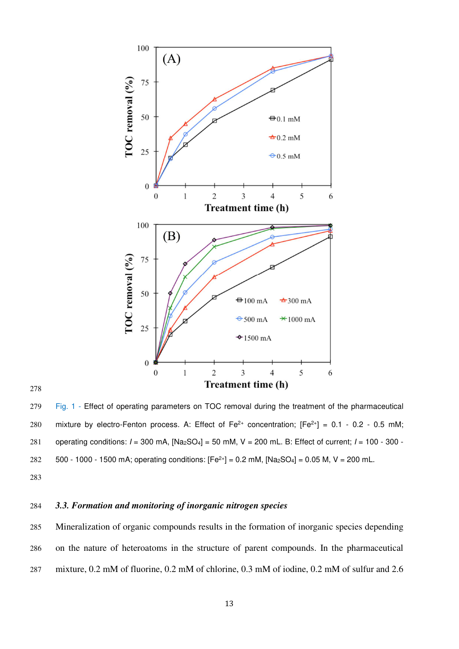

Fig. 1 - Effect of operating parameters on TOC removal during the treatment of the pharmaceutical 280 mixture by electro-Fenton process. A: Effect of Fe<sup>2+</sup> concentration;  $[Fe^{2+}] = 0.1 - 0.2 - 0.5$  mM; 281 operating conditions:  $I = 300$  mA,  $[Na<sub>2</sub>SO<sub>4</sub>] = 50$  mM, V = 200 mL. B: Effect of current;  $I = 100 - 300$  -282  $500 - 1000 - 1500$  mA; operating conditions:  $[Fe^{2+}] = 0.2$  mM,  $[Na_2SO_4] = 0.05$  M, V = 200 mL.

#### *3.3. Formation and monitoring of inorganic nitrogen species*

Mineralization of organic compounds results in the formation of inorganic species depending on the nature of heteroatoms in the structure of parent compounds. In the pharmaceutical mixture, 0.2 mM of fluorine, 0.2 mM of chlorine, 0.3 mM of iodine, 0.2 mM of sulfur and 2.6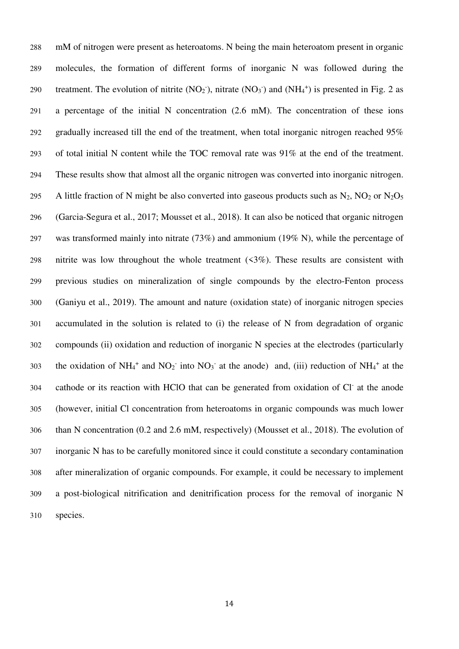mM of nitrogen were present as heteroatoms. N being the main heteroatom present in organic molecules, the formation of different forms of inorganic N was followed during the 290 treatment. The evolution of nitrite  $(NO<sub>2</sub>)$ , nitrate  $(NO<sub>3</sub>)$  and  $(NH<sub>4</sub><sup>+</sup>)$  is presented in Fig. 2 as a percentage of the initial N concentration (2.6 mM). The concentration of these ions gradually increased till the end of the treatment, when total inorganic nitrogen reached 95% of total initial N content while the TOC removal rate was 91% at the end of the treatment. These results show that almost all the organic nitrogen was converted into inorganic nitrogen. 295 A little fraction of N might be also converted into gaseous products such as  $N_2$ ,  $N_2$  or  $N_2O_5$ (Garcia-Segura et al., 2017; Mousset et al., 2018). It can also be noticed that organic nitrogen was transformed mainly into nitrate (73%) and ammonium (19% N), while the percentage of nitrite was low throughout the whole treatment (<3%). These results are consistent with previous studies on mineralization of single compounds by the electro-Fenton process (Ganiyu et al., 2019). The amount and nature (oxidation state) of inorganic nitrogen species accumulated in the solution is related to (i) the release of N from degradation of organic compounds (ii) oxidation and reduction of inorganic N species at the electrodes (particularly 303 the oxidation of NH<sub>4</sub><sup>+</sup> and NO<sub>2</sub><sup>-</sup> into NO<sub>3</sub><sup>-</sup> at the anode) and, (iii) reduction of NH<sub>4</sub><sup>+</sup> at the 304 cathode or its reaction with HClO that can be generated from oxidation of Cl<sup>-</sup> at the anode (however, initial Cl concentration from heteroatoms in organic compounds was much lower than N concentration (0.2 and 2.6 mM, respectively) (Mousset et al., 2018). The evolution of inorganic N has to be carefully monitored since it could constitute a secondary contamination after mineralization of organic compounds. For example, it could be necessary to implement a post-biological nitrification and denitrification process for the removal of inorganic N species.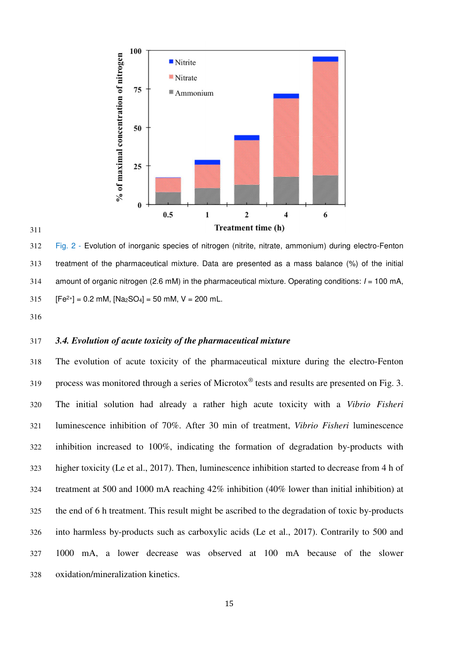



Fig. 2 - Evolution of inorganic species of nitrogen (nitrite, nitrate, ammonium) during electro-Fenton treatment of the pharmaceutical mixture. Data are presented as a mass balance (%) of the initial 314 amount of organic nitrogen (2.6 mM) in the pharmaceutical mixture. Operating conditions:  $I = 100$  mA,  $[Fe^{2+}] = 0.2$  mM,  $[Na_2SO_4] = 50$  mM,  $V = 200$  mL.

#### *3.4. Evolution of acute toxicity of the pharmaceutical mixture*

The evolution of acute toxicity of the pharmaceutical mixture during the electro-Fenton process was monitored through a series of Microtox<sup>®</sup> tests and results are presented on Fig. 3. The initial solution had already a rather high acute toxicity with a *Vibrio Fisheri* luminescence inhibition of 70%. After 30 min of treatment, *Vibrio Fisheri* luminescence inhibition increased to 100%, indicating the formation of degradation by-products with higher toxicity (Le et al., 2017). Then, luminescence inhibition started to decrease from 4 h of treatment at 500 and 1000 mA reaching 42% inhibition (40% lower than initial inhibition) at the end of 6 h treatment. This result might be ascribed to the degradation of toxic by-products into harmless by-products such as carboxylic acids (Le et al., 2017). Contrarily to 500 and 1000 mA, a lower decrease was observed at 100 mA because of the slower oxidation/mineralization kinetics.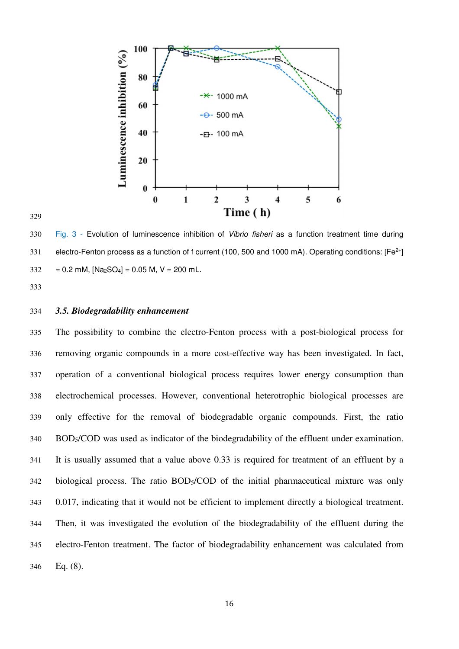

Fig. 3 - Evolution of luminescence inhibition of Vibrio fisheri as a function treatment time during 331 electro-Fenton process as a function of f current (100, 500 and 1000 mA). Operating conditions: [Fe<sup>2+</sup>]  $332 = 0.2$  mM,  $[Na_2SO_4] = 0.05$  M, V = 200 mL.

#### *3.5. Biodegradability enhancement*

The possibility to combine the electro-Fenton process with a post-biological process for removing organic compounds in a more cost-effective way has been investigated. In fact, operation of a conventional biological process requires lower energy consumption than electrochemical processes. However, conventional heterotrophic biological processes are only effective for the removal of biodegradable organic compounds. First, the ratio 340 BOD<sub>5</sub>/COD was used as indicator of the biodegradability of the effluent under examination. It is usually assumed that a value above 0.33 is required for treatment of an effluent by a biological process. The ratio BOD5/COD of the initial pharmaceutical mixture was only 0.017, indicating that it would not be efficient to implement directly a biological treatment. Then, it was investigated the evolution of the biodegradability of the effluent during the electro-Fenton treatment. The factor of biodegradability enhancement was calculated from Eq. (8).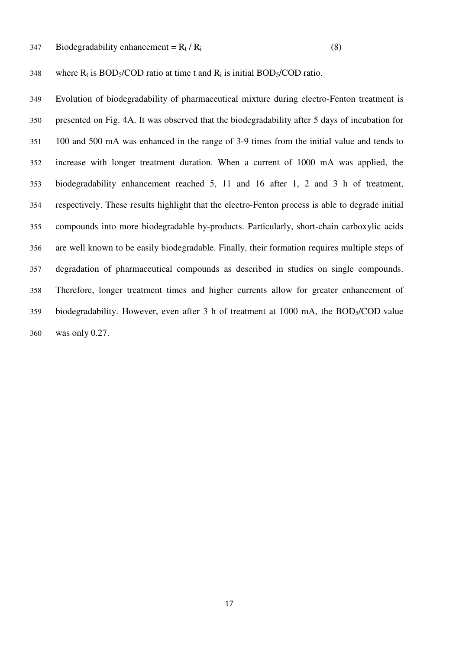347 Biodegradability enhancement =  $R_t / R_i$  (8)

348 where  $R_t$  is BOD<sub>5</sub>/COD ratio at time t and  $R_i$  is initial BOD<sub>5</sub>/COD ratio.

Evolution of biodegradability of pharmaceutical mixture during electro-Fenton treatment is presented on Fig. 4A. It was observed that the biodegradability after 5 days of incubation for 100 and 500 mA was enhanced in the range of 3-9 times from the initial value and tends to increase with longer treatment duration. When a current of 1000 mA was applied, the biodegradability enhancement reached 5, 11 and 16 after 1, 2 and 3 h of treatment, respectively. These results highlight that the electro-Fenton process is able to degrade initial compounds into more biodegradable by-products. Particularly, short-chain carboxylic acids are well known to be easily biodegradable. Finally, their formation requires multiple steps of degradation of pharmaceutical compounds as described in studies on single compounds. Therefore, longer treatment times and higher currents allow for greater enhancement of 359 biodegradability. However, even after 3 h of treatment at 1000 mA, the BOD<sub>5</sub>/COD value was only 0.27.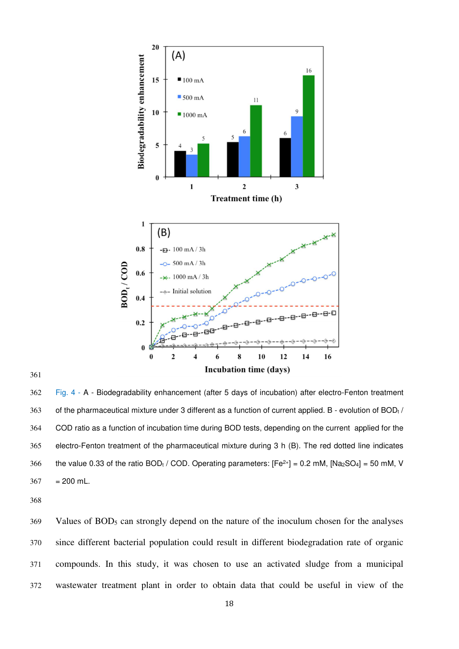

#### 

Fig. 4 - A - Biodegradability enhancement (after 5 days of incubation) after electro-Fenton treatment 363 of the pharmaceutical mixture under 3 different as a function of current applied. B - evolution of  $BOD<sub>t</sub>$ COD ratio as a function of incubation time during BOD tests, depending on the current applied for the electro-Fenton treatment of the pharmaceutical mixture during 3 h (B). The red dotted line indicates 366 the value 0.33 of the ratio BODt / COD. Operating parameters:  $[Fe^{2+}] = 0.2$  mM,  $[Na_2SO_4] = 50$  mM, V  $367 = 200$  mL.

Values of BOD5 can strongly depend on the nature of the inoculum chosen for the analyses since different bacterial population could result in different biodegradation rate of organic compounds. In this study, it was chosen to use an activated sludge from a municipal wastewater treatment plant in order to obtain data that could be useful in view of the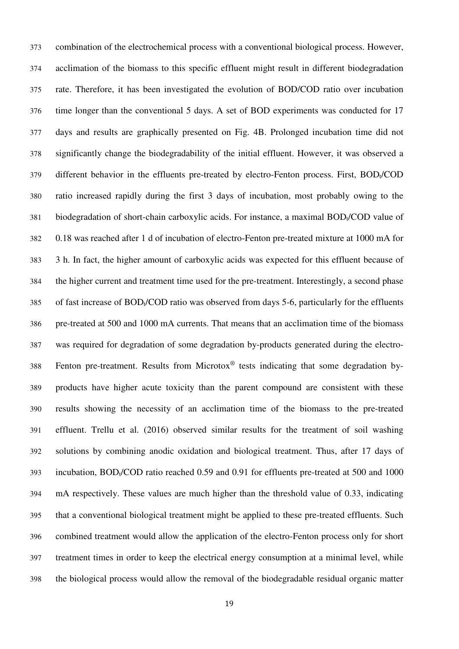combination of the electrochemical process with a conventional biological process. However, acclimation of the biomass to this specific effluent might result in different biodegradation rate. Therefore, it has been investigated the evolution of BOD/COD ratio over incubation time longer than the conventional 5 days. A set of BOD experiments was conducted for 17 days and results are graphically presented on Fig. 4B. Prolonged incubation time did not significantly change the biodegradability of the initial effluent. However, it was observed a different behavior in the effluents pre-treated by electro-Fenton process. First, BOD<sub>t</sub>/COD ratio increased rapidly during the first 3 days of incubation, most probably owing to the 381 biodegradation of short-chain carboxylic acids. For instance, a maximal BOD<sub>t</sub>/COD value of 0.18 was reached after 1 d of incubation of electro-Fenton pre-treated mixture at 1000 mA for 3 h. In fact, the higher amount of carboxylic acids was expected for this effluent because of the higher current and treatment time used for the pre-treatment. Interestingly, a second phase of fast increase of BOD<sub>t</sub>/COD ratio was observed from days 5-6, particularly for the effluents pre-treated at 500 and 1000 mA currents. That means that an acclimation time of the biomass was required for degradation of some degradation by-products generated during the electro- Fenton pre-treatment. Results from Microtox<sup>®</sup> tests indicating that some degradation by-products have higher acute toxicity than the parent compound are consistent with these results showing the necessity of an acclimation time of the biomass to the pre-treated effluent. Trellu et al. (2016) observed similar results for the treatment of soil washing solutions by combining anodic oxidation and biological treatment. Thus, after 17 days of 393 incubation,  $BOD<sub>t</sub>/COD$  ratio reached 0.59 and 0.91 for effluents pre-treated at 500 and 1000 mA respectively. These values are much higher than the threshold value of 0.33, indicating that a conventional biological treatment might be applied to these pre-treated effluents. Such combined treatment would allow the application of the electro-Fenton process only for short treatment times in order to keep the electrical energy consumption at a minimal level, while the biological process would allow the removal of the biodegradable residual organic matter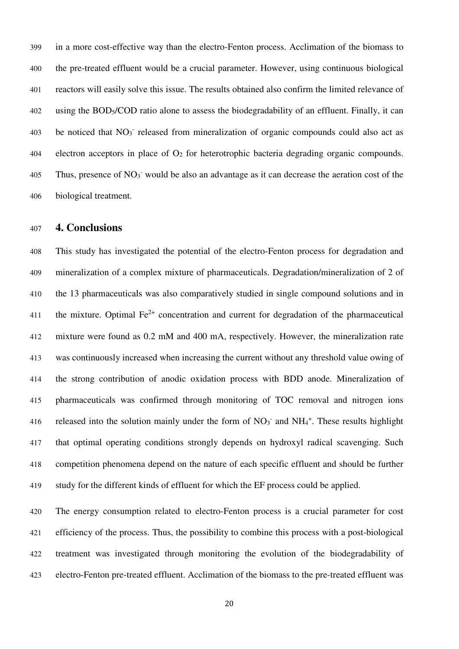in a more cost-effective way than the electro-Fenton process. Acclimation of the biomass to the pre-treated effluent would be a crucial parameter. However, using continuous biological reactors will easily solve this issue. The results obtained also confirm the limited relevance of using the BOD5/COD ratio alone to assess the biodegradability of an effluent. Finally, it can 403 be noticed that NO<sub>3</sub> released from mineralization of organic compounds could also act as 404 electron acceptors in place of  $O_2$  for heterotrophic bacteria degrading organic compounds. 405 Thus, presence of  $NO<sub>3</sub>$  would be also an advantage as it can decrease the aeration cost of the biological treatment.

#### **4. Conclusions**

This study has investigated the potential of the electro-Fenton process for degradation and mineralization of a complex mixture of pharmaceuticals. Degradation/mineralization of 2 of the 13 pharmaceuticals was also comparatively studied in single compound solutions and in 411 the mixture. Optimal  $Fe^{2+}$  concentration and current for degradation of the pharmaceutical mixture were found as 0.2 mM and 400 mA, respectively. However, the mineralization rate was continuously increased when increasing the current without any threshold value owing of the strong contribution of anodic oxidation process with BDD anode. Mineralization of pharmaceuticals was confirmed through monitoring of TOC removal and nitrogen ions 416 released into the solution mainly under the form of  $NO<sub>3</sub>$  and  $NH<sub>4</sub>$ <sup>+</sup>. These results highlight that optimal operating conditions strongly depends on hydroxyl radical scavenging. Such competition phenomena depend on the nature of each specific effluent and should be further study for the different kinds of effluent for which the EF process could be applied.

The energy consumption related to electro-Fenton process is a crucial parameter for cost efficiency of the process. Thus, the possibility to combine this process with a post-biological treatment was investigated through monitoring the evolution of the biodegradability of electro-Fenton pre-treated effluent. Acclimation of the biomass to the pre-treated effluent was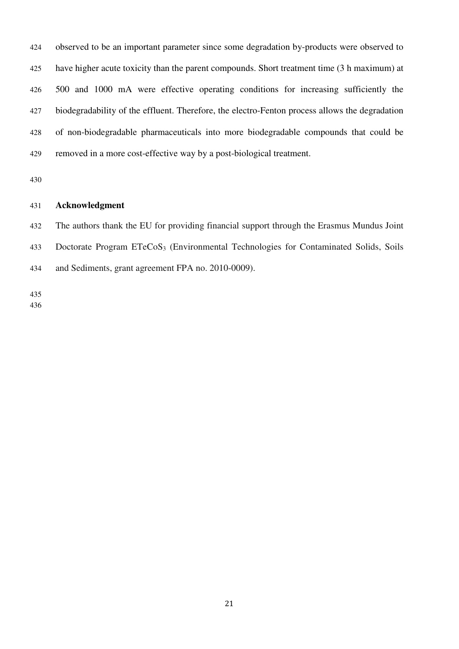observed to be an important parameter since some degradation by-products were observed to have higher acute toxicity than the parent compounds. Short treatment time (3 h maximum) at 500 and 1000 mA were effective operating conditions for increasing sufficiently the biodegradability of the effluent. Therefore, the electro-Fenton process allows the degradation of non-biodegradable pharmaceuticals into more biodegradable compounds that could be removed in a more cost-effective way by a post-biological treatment.

#### **Acknowledgment**

The authors thank the EU for providing financial support through the Erasmus Mundus Joint Doctorate Program ETeCoS3 (Environmental Technologies for Contaminated Solids, Soils and Sediments, grant agreement FPA no. 2010-0009).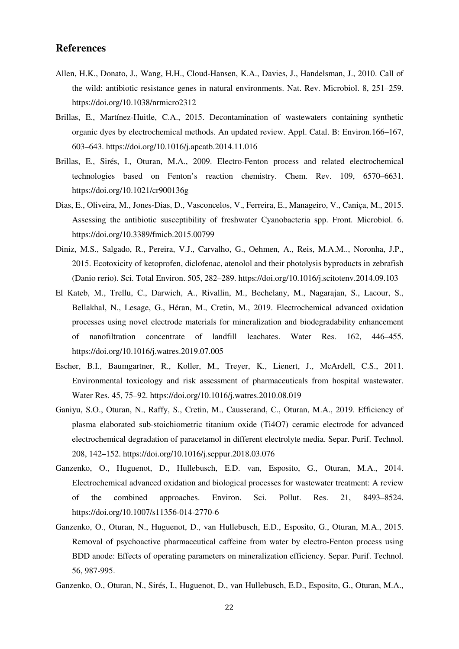#### **References**

- Allen, H.K., Donato, J., Wang, H.H., Cloud-Hansen, K.A., Davies, J., Handelsman, J., 2010. Call of the wild: antibiotic resistance genes in natural environments. Nat. Rev. Microbiol. 8, 251–259. https://doi.org/10.1038/nrmicro2312
- Brillas, E., Martínez-Huitle, C.A., 2015. Decontamination of wastewaters containing synthetic organic dyes by electrochemical methods. An updated review. Appl. Catal. B: Environ.166–167, 603–643. https://doi.org/10.1016/j.apcatb.2014.11.016
- Brillas, E., Sirés, I., Oturan, M.A., 2009. Electro-Fenton process and related electrochemical technologies based on Fenton's reaction chemistry. Chem. Rev. 109, 6570–6631. https://doi.org/10.1021/cr900136g
- Dias, E., Oliveira, M., Jones-Dias, D., Vasconcelos, V., Ferreira, E., Manageiro, V., Caniça, M., 2015. Assessing the antibiotic susceptibility of freshwater Cyanobacteria spp. Front. Microbiol. 6. https://doi.org/10.3389/fmicb.2015.00799
- Diniz, M.S., Salgado, R., Pereira, V.J., Carvalho, G., Oehmen, A., Reis, M.A.M.., Noronha, J.P., 2015. Ecotoxicity of ketoprofen, diclofenac, atenolol and their photolysis byproducts in zebrafish (Danio rerio). Sci. Total Environ. 505, 282–289. https://doi.org/10.1016/j.scitotenv.2014.09.103
- El Kateb, M., Trellu, C., Darwich, A., Rivallin, M., Bechelany, M., Nagarajan, S., Lacour, S., Bellakhal, N., Lesage, G., Héran, M., Cretin, M., 2019. Electrochemical advanced oxidation processes using novel electrode materials for mineralization and biodegradability enhancement of nanofiltration concentrate of landfill leachates. Water Res. 162, 446–455. https://doi.org/10.1016/j.watres.2019.07.005
- Escher, B.I., Baumgartner, R., Koller, M., Treyer, K., Lienert, J., McArdell, C.S., 2011. Environmental toxicology and risk assessment of pharmaceuticals from hospital wastewater. Water Res. 45, 75–92. https://doi.org/10.1016/j.watres.2010.08.019
- Ganiyu, S.O., Oturan, N., Raffy, S., Cretin, M., Causserand, C., Oturan, M.A., 2019. Efficiency of plasma elaborated sub-stoichiometric titanium oxide (Ti4O7) ceramic electrode for advanced electrochemical degradation of paracetamol in different electrolyte media. Separ. Purif. Technol. 208, 142–152. https://doi.org/10.1016/j.seppur.2018.03.076
- Ganzenko, O., Huguenot, D., Hullebusch, E.D. van, Esposito, G., Oturan, M.A., 2014. Electrochemical advanced oxidation and biological processes for wastewater treatment: A review of the combined approaches. Environ. Sci. Pollut. Res. 21, 8493–8524. https://doi.org/10.1007/s11356-014-2770-6
- Ganzenko, O., Oturan, N., Huguenot, D., van Hullebusch, E.D., Esposito, G., Oturan, M.A., 2015. Removal of psychoactive pharmaceutical caffeine from water by electro-Fenton process using BDD anode: Effects of operating parameters on mineralization efficiency. Separ. Purif. Technol. 56, 987-995.
- Ganzenko, O., Oturan, N., Sirés, I., Huguenot, D., van Hullebusch, E.D., Esposito, G., Oturan, M.A.,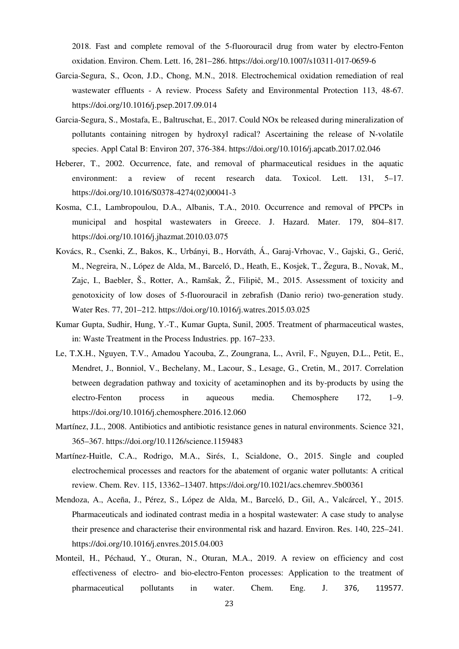2018. Fast and complete removal of the 5-fluorouracil drug from water by electro-Fenton oxidation. Environ. Chem. Lett. 16, 281–286. https://doi.org/10.1007/s10311-017-0659-6

- Garcia-Segura, S., Ocon, J.D., Chong, M.N., 2018. Electrochemical oxidation remediation of real wastewater effluents - A review. Process Safety and Environmental Protection 113, 48-67. https://doi.org/10.1016/j.psep.2017.09.014
- Garcia-Segura, S., Mostafa, E., Baltruschat, E., 2017. Could NOx be released during mineralization of pollutants containing nitrogen by hydroxyl radical? Ascertaining the release of N-volatile species. Appl Catal B: Environ 207, 376-384. https://doi.org/10.1016/j.apcatb.2017.02.046
- Heberer, T., 2002. Occurrence, fate, and removal of pharmaceutical residues in the aquatic environment: a review of recent research data. Toxicol. Lett. 131, 5–17. https://doi.org/10.1016/S0378-4274(02)00041-3
- Kosma, C.I., Lambropoulou, D.A., Albanis, T.A., 2010. Occurrence and removal of PPCPs in municipal and hospital wastewaters in Greece. J. Hazard. Mater. 179, 804–817. https://doi.org/10.1016/j.jhazmat.2010.03.075
- Kovács, R., Csenki, Z., Bakos, K., Urbányi, B., Horváth, Á., Garaj-Vrhovac, V., Gajski, G., Gerić, M., Negreira, N., López de Alda, M., Barceló, D., Heath, E., Kosjek, T., Žegura, B., Novak, M., Zajc, I., Baebler, Š., Rotter, A., Ramšak, Ž., Filipič, M., 2015. Assessment of toxicity and genotoxicity of low doses of 5-fluorouracil in zebrafish (Danio rerio) two-generation study. Water Res. 77, 201–212. https://doi.org/10.1016/j.watres.2015.03.025
- Kumar Gupta, Sudhir, Hung, Y.-T., Kumar Gupta, Sunil, 2005. Treatment of pharmaceutical wastes, in: Waste Treatment in the Process Industries. pp. 167–233.
- Le, T.X.H., Nguyen, T.V., Amadou Yacouba, Z., Zoungrana, L., Avril, F., Nguyen, D.L., Petit, E., Mendret, J., Bonniol, V., Bechelany, M., Lacour, S., Lesage, G., Cretin, M., 2017. Correlation between degradation pathway and toxicity of acetaminophen and its by-products by using the electro-Fenton process in aqueous media. Chemosphere 172, 1–9. https://doi.org/10.1016/j.chemosphere.2016.12.060
- Martínez, J.L., 2008. Antibiotics and antibiotic resistance genes in natural environments. Science 321, 365–367. https://doi.org/10.1126/science.1159483
- Martínez-Huitle, C.A., Rodrigo, M.A., Sirés, I., Scialdone, O., 2015. Single and coupled electrochemical processes and reactors for the abatement of organic water pollutants: A critical review. Chem. Rev. 115, 13362–13407. https://doi.org/10.1021/acs.chemrev.5b00361
- Mendoza, A., Aceña, J., Pérez, S., López de Alda, M., Barceló, D., Gil, A., Valcárcel, Y., 2015. Pharmaceuticals and iodinated contrast media in a hospital wastewater: A case study to analyse their presence and characterise their environmental risk and hazard. Environ. Res. 140, 225–241. https://doi.org/10.1016/j.envres.2015.04.003
- Monteil, H., Péchaud, Y., Oturan, N., Oturan, M.A., 2019. A review on efficiency and cost effectiveness of electro- and bio-electro-Fenton processes: Application to the treatment of pharmaceutical pollutants in water. Chem. Eng. J. 376, 119577.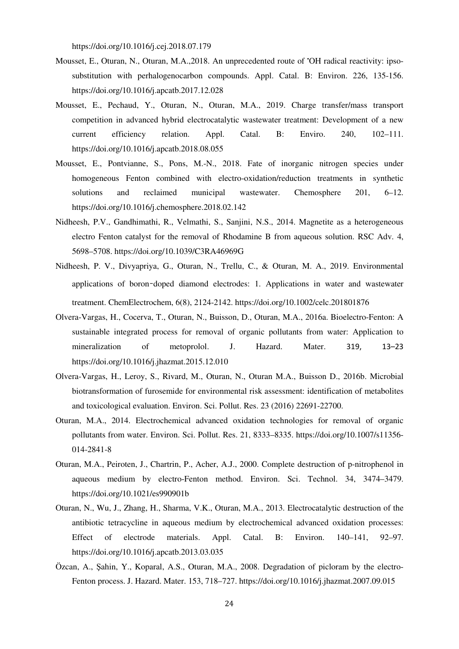https://doi.org/10.1016/j.cej.2018.07.179

- Mousset, E., Oturan, N., Oturan, M.A.,2018. An unprecedented route of •OH radical reactivity: ipsosubstitution with perhalogenocarbon compounds. Appl. Catal. B: Environ. 226, 135-156. https://doi.org/10.1016/j.apcatb.2017.12.028
- Mousset, E., Pechaud, Y., Oturan, N., Oturan, M.A., 2019. Charge transfer/mass transport competition in advanced hybrid electrocatalytic wastewater treatment: Development of a new current efficiency relation. Appl. Catal. B: Enviro. 240, 102–111. https://doi.org/10.1016/j.apcatb.2018.08.055
- Mousset, E., Pontvianne, S., Pons, M.-N., 2018. Fate of inorganic nitrogen species under homogeneous Fenton combined with electro-oxidation/reduction treatments in synthetic solutions and reclaimed municipal wastewater. Chemosphere 201, 6–12. https://doi.org/10.1016/j.chemosphere.2018.02.142
- Nidheesh, P.V., Gandhimathi, R., Velmathi, S., Sanjini, N.S., 2014. Magnetite as a heterogeneous electro Fenton catalyst for the removal of Rhodamine B from aqueous solution. RSC Adv. 4, 5698–5708. https://doi.org/10.1039/C3RA46969G
- Nidheesh, P. V., Divyapriya, G., Oturan, N., Trellu, C., & Oturan, M. A., 2019. Environmental applications of boron‐doped diamond electrodes: 1. Applications in water and wastewater treatment. ChemElectrochem, 6(8), 2124-2142. https://doi.org/10.1002/celc.201801876
- Olvera-Vargas, H., Cocerva, T., Oturan, N., Buisson, D., Oturan, M.A., 2016a. Bioelectro-Fenton: A sustainable integrated process for removal of organic pollutants from water: Application to mineralization of metoprolol. J. Hazard. Mater. 319, 13–23 https://doi.org/10.1016/j.jhazmat.2015.12.010
- Olvera-Vargas, H., Leroy, S., Rivard, M., Oturan, N., Oturan M.A., Buisson D., 2016b. Microbial biotransformation of furosemide for environmental risk assessment: identification of metabolites and toxicological evaluation. Environ. Sci. Pollut. Res. 23 (2016) 22691-22700.
- Oturan, M.A., 2014. Electrochemical advanced oxidation technologies for removal of organic pollutants from water. Environ. Sci. Pollut. Res. 21, 8333–8335. https://doi.org/10.1007/s11356- 014-2841-8
- Oturan, M.A., Peiroten, J., Chartrin, P., Acher, A.J., 2000. Complete destruction of p-nitrophenol in aqueous medium by electro-Fenton method. Environ. Sci. Technol. 34, 3474–3479. https://doi.org/10.1021/es990901b
- Oturan, N., Wu, J., Zhang, H., Sharma, V.K., Oturan, M.A., 2013. Electrocatalytic destruction of the antibiotic tetracycline in aqueous medium by electrochemical advanced oxidation processes: Effect of electrode materials. Appl. Catal. B: Environ. 140–141, 92–97. https://doi.org/10.1016/j.apcatb.2013.03.035
- Özcan, A., Şahin, Y., Koparal, A.S., Oturan, M.A., 2008. Degradation of picloram by the electro-Fenton process. J. Hazard. Mater. 153, 718–727. https://doi.org/10.1016/j.jhazmat.2007.09.015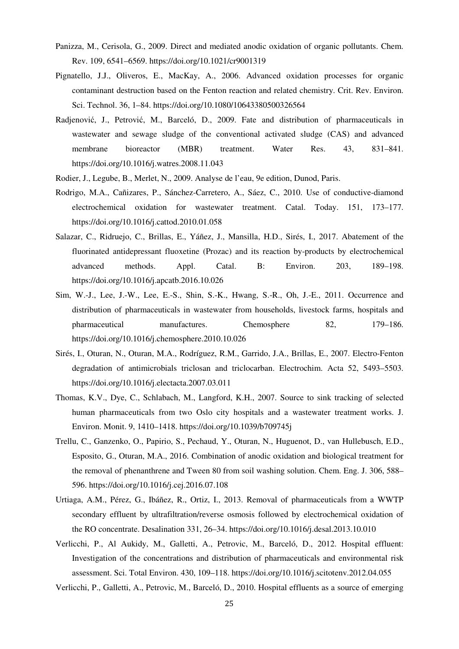- Panizza, M., Cerisola, G., 2009. Direct and mediated anodic oxidation of organic pollutants. Chem. Rev. 109, 6541–6569. https://doi.org/10.1021/cr9001319
- Pignatello, J.J., Oliveros, E., MacKay, A., 2006. Advanced oxidation processes for organic contaminant destruction based on the Fenton reaction and related chemistry. Crit. Rev. Environ. Sci. Technol. 36, 1–84. https://doi.org/10.1080/10643380500326564
- Radjenović, J., Petrović, M., Barceló, D., 2009. Fate and distribution of pharmaceuticals in wastewater and sewage sludge of the conventional activated sludge (CAS) and advanced membrane bioreactor (MBR) treatment. Water Res. 43, 831–841. https://doi.org/10.1016/j.watres.2008.11.043
- Rodier, J., Legube, B., Merlet, N., 2009. Analyse de l'eau, 9e edition, Dunod, Paris.
- Rodrigo, M.A., Cañizares, P., Sánchez-Carretero, A., Sáez, C., 2010. Use of conductive-diamond electrochemical oxidation for wastewater treatment. Catal. Today. 151, 173–177. https://doi.org/10.1016/j.cattod.2010.01.058
- Salazar, C., Ridruejo, C., Brillas, E., Yáñez, J., Mansilla, H.D., Sirés, I., 2017. Abatement of the fluorinated antidepressant fluoxetine (Prozac) and its reaction by-products by electrochemical advanced methods. Appl. Catal. B: Environ. 203, 189–198. https://doi.org/10.1016/j.apcatb.2016.10.026
- Sim, W.-J., Lee, J.-W., Lee, E.-S., Shin, S.-K., Hwang, S.-R., Oh, J.-E., 2011. Occurrence and distribution of pharmaceuticals in wastewater from households, livestock farms, hospitals and pharmaceutical manufactures. Chemosphere 82, 179–186. https://doi.org/10.1016/j.chemosphere.2010.10.026
- Sirés, I., Oturan, N., Oturan, M.A., Rodríguez, R.M., Garrido, J.A., Brillas, E., 2007. Electro-Fenton degradation of antimicrobials triclosan and triclocarban. Electrochim. Acta 52, 5493–5503. https://doi.org/10.1016/j.electacta.2007.03.011
- Thomas, K.V., Dye, C., Schlabach, M., Langford, K.H., 2007. Source to sink tracking of selected human pharmaceuticals from two Oslo city hospitals and a wastewater treatment works. J. Environ. Monit. 9, 1410–1418. https://doi.org/10.1039/b709745j
- Trellu, C., Ganzenko, O., Papirio, S., Pechaud, Y., Oturan, N., Huguenot, D., van Hullebusch, E.D., Esposito, G., Oturan, M.A., 2016. Combination of anodic oxidation and biological treatment for the removal of phenanthrene and Tween 80 from soil washing solution. Chem. Eng. J. 306, 588– 596. https://doi.org/10.1016/j.cej.2016.07.108
- Urtiaga, A.M., Pérez, G., Ibáñez, R., Ortiz, I., 2013. Removal of pharmaceuticals from a WWTP secondary effluent by ultrafiltration/reverse osmosis followed by electrochemical oxidation of the RO concentrate. Desalination 331, 26–34. https://doi.org/10.1016/j.desal.2013.10.010
- Verlicchi, P., Al Aukidy, M., Galletti, A., Petrovic, M., Barceló, D., 2012. Hospital effluent: Investigation of the concentrations and distribution of pharmaceuticals and environmental risk assessment. Sci. Total Environ. 430, 109–118. https://doi.org/10.1016/j.scitotenv.2012.04.055

Verlicchi, P., Galletti, A., Petrovic, M., Barceló, D., 2010. Hospital effluents as a source of emerging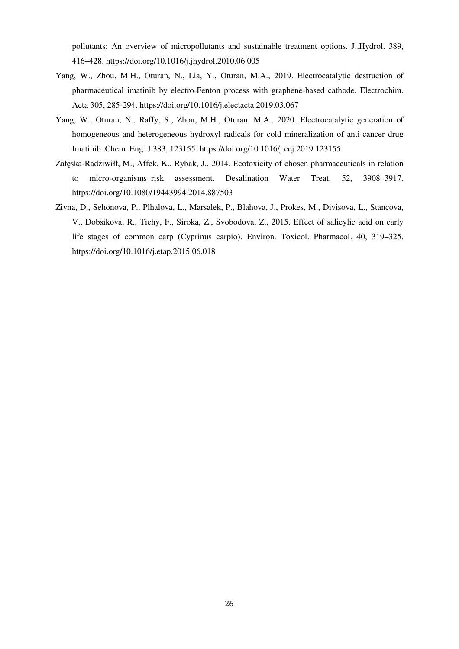pollutants: An overview of micropollutants and sustainable treatment options. J..Hydrol. 389, 416–428. https://doi.org/10.1016/j.jhydrol.2010.06.005

- Yang, W., Zhou, M.H., Oturan, N., Lia, Y., Oturan, M.A., 2019. Electrocatalytic destruction of pharmaceutical imatinib by electro-Fenton process with graphene-based cathode*.* Electrochim. Acta 305, 285-294. https://doi.org/10.1016/j.electacta.2019.03.067
- Yang, W., Oturan, N., Raffy, S., Zhou, M.H., Oturan, M.A., 2020. Electrocatalytic generation of homogeneous and heterogeneous hydroxyl radicals for cold mineralization of anti-cancer drug Imatinib. Chem. Eng. J 383, 123155. https://doi.org/10.1016/j.cej.2019.123155
- Załęska-Radziwiłł, M., Affek, K., Rybak, J., 2014. Ecotoxicity of chosen pharmaceuticals in relation to micro-organisms–risk assessment. Desalination Water Treat. 52, 3908–3917. https://doi.org/10.1080/19443994.2014.887503
- Zivna, D., Sehonova, P., Plhalova, L., Marsalek, P., Blahova, J., Prokes, M., Divisova, L., Stancova, V., Dobsikova, R., Tichy, F., Siroka, Z., Svobodova, Z., 2015. Effect of salicylic acid on early life stages of common carp (Cyprinus carpio). Environ. Toxicol. Pharmacol. 40, 319–325. https://doi.org/10.1016/j.etap.2015.06.018